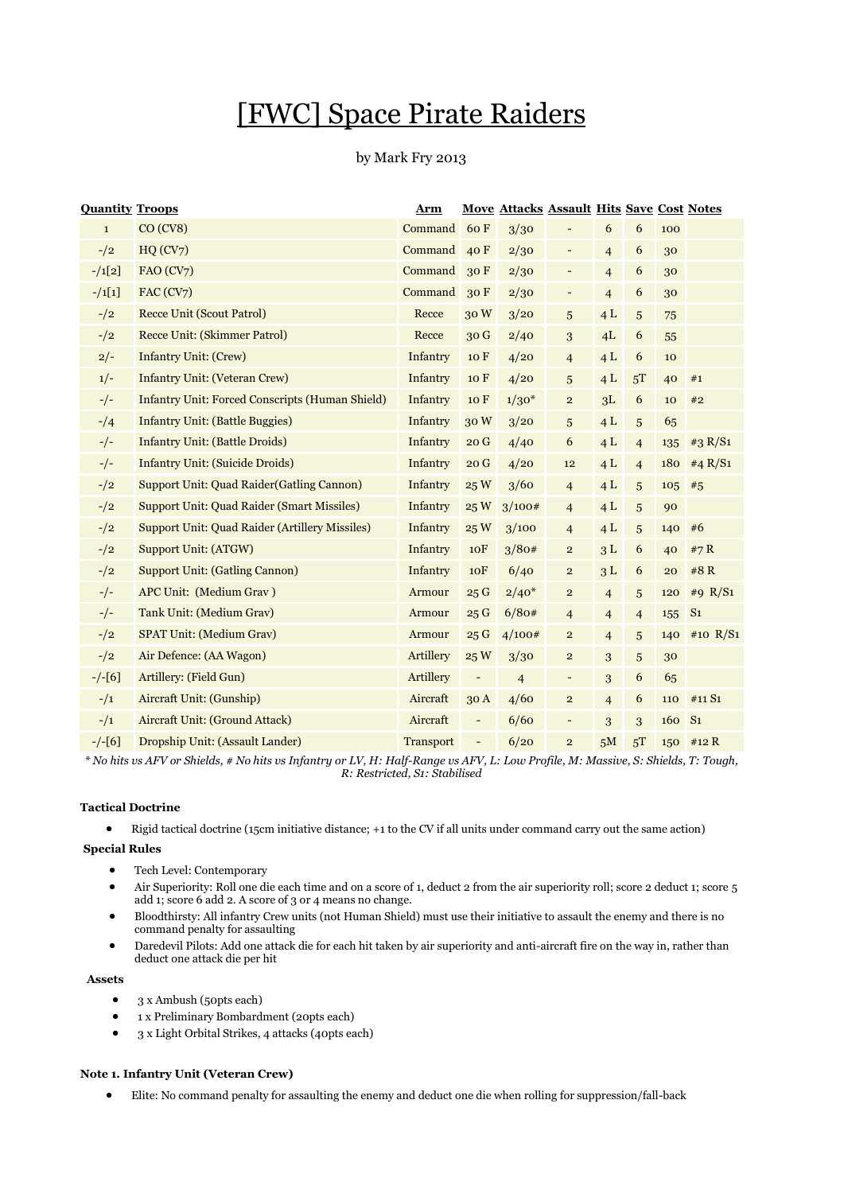# [FWC] Space Pirate Raiders

# by Mark Fry 2013

| <b>Quantity Troops</b> |                                                       | Arm              |                          | <b>Move Attacks Assault Hits Save Cost Notes</b> |                          |                |                |     |                |
|------------------------|-------------------------------------------------------|------------------|--------------------------|--------------------------------------------------|--------------------------|----------------|----------------|-----|----------------|
| $\mathbf{1}$           | CO (CV8)                                              | Command          | 60 F                     | 3/30                                             |                          | 6              | 6              | 100 |                |
| $-1/2$                 | HQ (CV7)                                              | Command          | 40 F                     | 2/30                                             | $\overline{\phantom{a}}$ | $\overline{4}$ | 6              | 30  |                |
| $-1[2]$                | FAO (CV7)                                             | Command          | 30F                      | 2/30                                             | $\qquad \qquad -$        | $\overline{4}$ | 6              | 30  |                |
| $-1[1]$                | FAC (CV7)                                             | Command          | 30F                      | 2/30                                             | $\overline{\phantom{a}}$ | $\overline{4}$ | 6              | 30  |                |
| $-1/2$                 | <b>Recce Unit (Scout Patrol)</b>                      | Recce            | 30W                      | 3/20                                             | 5                        | 4L             | 5              | 75  |                |
| $-1/2$                 | Recce Unit: (Skimmer Patrol)                          | Recce            | 30 <sub>G</sub>          | 2/40                                             | 3                        | 4L             | 6              | 55  |                |
| $2/-$                  | <b>Infantry Unit: (Crew)</b>                          | Infantry         | 10 F                     | 4/20                                             | $\overline{4}$           | 4L             | 6              | 10  |                |
| $1/-$                  | <b>Infantry Unit: (Veteran Crew)</b>                  | Infantry         | 10 F                     | 4/20                                             | 5                        | 4L             | 5T             | 40  | #1             |
| $-/-$                  | Infantry Unit: Forced Conscripts (Human Shield)       | Infantry         | 10 F                     | $1/30*$                                          | $\mathbf{2}$             | 3L             | 6              | 10  | #2             |
| $-1/4$                 | <b>Infantry Unit: (Battle Buggies)</b>                | Infantry         | 30W                      | 3/20                                             | 5                        | 4L             | 5              | 65  |                |
| $-/-$                  | <b>Infantry Unit: (Battle Droids)</b>                 | Infantry         | 20G                      | 4/40                                             | 6                        | 4L             | $\overline{4}$ | 135 | #3 $R/S1$      |
| $-/-$                  | <b>Infantry Unit: (Suicide Droids)</b>                | Infantry         | 20G                      | 4/20                                             | 12                       | 4L             | $\overline{4}$ | 180 | #4 $R/S1$      |
| $-$ /2                 | <b>Support Unit: Quad Raider (Gatling Cannon)</b>     | Infantry         | 25 W                     | 3/60                                             | $\overline{4}$           | 4L             | 5              | 105 | #5             |
| $-1/2$                 | <b>Support Unit: Quad Raider (Smart Missiles)</b>     | Infantry         | 25W                      | 3/100#                                           | $\overline{4}$           | 4L             | 5              | 90  |                |
| $-1/2$                 | <b>Support Unit: Quad Raider (Artillery Missiles)</b> | Infantry         | 25W                      | 3/100                                            | $\overline{4}$           | 4L             | 5              | 140 | #6             |
| $-$ /2                 | Support Unit: (ATGW)                                  | Infantry         | 10 <sub>F</sub>          | 3/80#                                            | $\overline{2}$           | 3L             | 6              | 40  | #7 R           |
| $-1/2$                 | <b>Support Unit: (Gatling Cannon)</b>                 | Infantry         | 10F                      | 6/40                                             | $\mathbf{2}$             | 3L             | 6              | 20  | #8R            |
| $-/-$                  | APC Unit: (Medium Grav)                               | Armour           | 25G                      | $2/40*$                                          | $\mathbf{2}$             | $\overline{4}$ | 5              | 120 | #9 $R/S1$      |
| $-/-$                  | Tank Unit: (Medium Grav)                              | Armour           | 25G                      | 6/80#                                            | $\overline{4}$           | $\overline{4}$ | $\overline{4}$ | 155 | S <sub>1</sub> |
| $-$ /2                 | <b>SPAT Unit: (Medium Grav)</b>                       | Armour           | 25G                      | 4/100#                                           | $\overline{2}$           | $\overline{4}$ | 5              | 140 | #10 $R/S1$     |
| $-1/2$                 | Air Defence: (AA Wagon)                               | Artillery        | 25W                      | 3/30                                             | $\mathbf 2$              | 3              | 5              | 30  |                |
| $-/-[6]$               | Artillery: (Field Gun)                                | Artillery        | $\overline{\phantom{a}}$ | $\overline{4}$                                   | -                        | 3              | 6              | 65  |                |
| $^{-/1}$               | Aircraft Unit: (Gunship)                              | Aircraft         | 30A                      | 4/60                                             | $\mathbf{2}$             | $\overline{4}$ | 6              | 110 | #11 S1         |
| $^{-/1}$               | Aircraft Unit: (Ground Attack)                        | Aircraft         | $\overline{\phantom{0}}$ | 6/60                                             | $\qquad \qquad -$        | 3              | 3              | 160 | S <sub>1</sub> |
| $-/-[6]$               | Dropship Unit: (Assault Lander)                       | <b>Transport</b> | $\overline{\phantom{0}}$ | 6/20                                             | $\overline{2}$           | 5M             | 5T             | 150 | #12 R          |

*\* No hits vs AFV or Shields, # No hits vs Infantry or LV, H: Half-Range vs AFV, L: Low Profile, M: Massive, S: Shields, T: Tough, R: Restricted, S1: Stabilised*

# **Tactical Doctrine**

Rigid tactical doctrine (15cm initiative distance; +1 to the CV if all units under command carry out the same action)

#### **Special Rules**

- Tech Level: Contemporary
- Air Superiority: Roll one die each time and on a score of 1, deduct 2 from the air superiority roll; score 2 deduct 1; score 5 add 1; score 6 add 2. A score of 3 or 4 means no change.
- Bloodthirsty: All infantry Crew units (not Human Shield) must use their initiative to assault the enemy and there is no command penalty for assaulting
- Daredevil Pilots: Add one attack die for each hit taken by air superiority and anti-aircraft fire on the way in, rather than deduct one attack die per hit

#### **Assets**

- 3 x Ambush (50pts each)
- 1 x Preliminary Bombardment (20pts each)
- 3 x Light Orbital Strikes, 4 attacks (40pts each)

## **Note 1. Infantry Unit (Veteran Crew)**

Elite: No command penalty for assaulting the enemy and deduct one die when rolling for suppression/fall-back